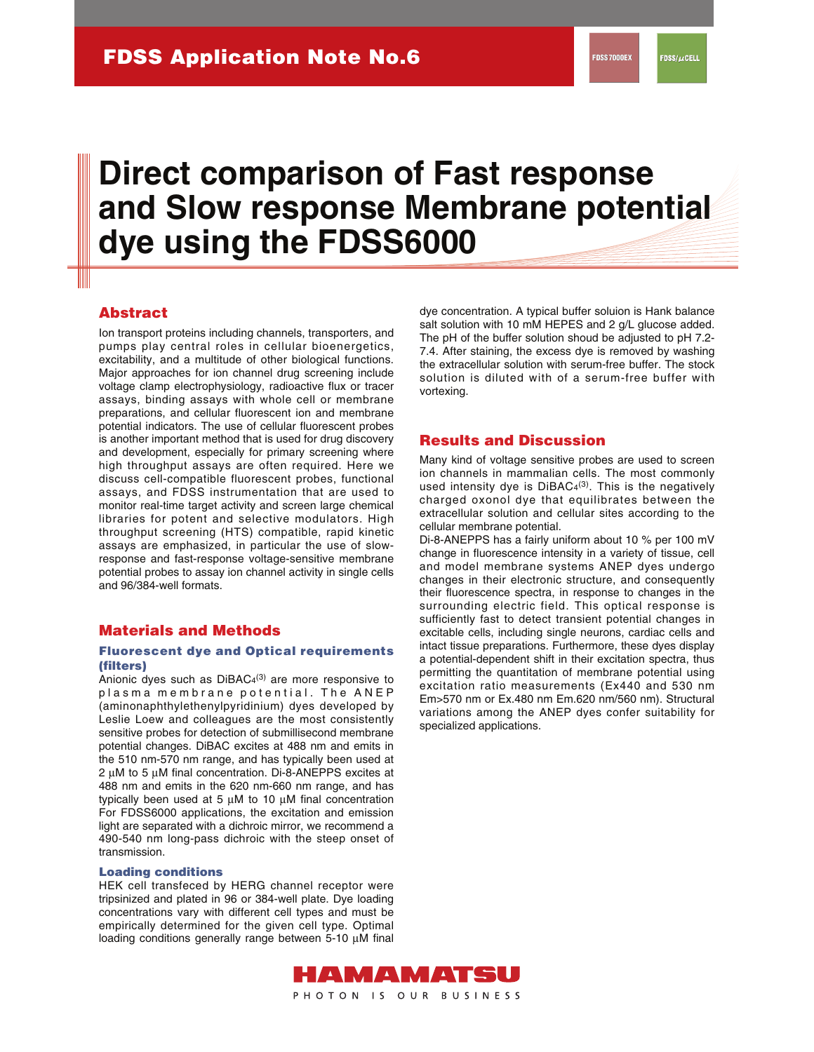# **Direct comparison of Fast response and Slow response Membrane potential dye using the FDSS6000**

## **Abstract**

Ion transport proteins including channels, transporters, and pumps play central roles in cellular bioenergetics, excitability, and a multitude of other biological functions. Major approaches for ion channel drug screening include voltage clamp electrophysiology, radioactive flux or tracer assays, binding assays with whole cell or membrane preparations, and cellular fluorescent ion and membrane potential indicators. The use of cellular fluorescent probes is another important method that is used for drug discovery and development, especially for primary screening where high throughput assays are often required. Here we discuss cell-compatible fluorescent probes, functional assays, and FDSS instrumentation that are used to monitor real-time target activity and screen large chemical libraries for potent and selective modulators. High throughput screening (HTS) compatible, rapid kinetic assays are emphasized, in particular the use of slowresponse and fast-response voltage-sensitive membrane potential probes to assay ion channel activity in single cells and 96/384-well formats.

## **Materials and Methods**

#### **Fluorescent dye and Optical requirements (filters)**

Anionic dyes such as DiBAC4<sup>(3)</sup> are more responsive to plasma membrane potential. The ANEP (aminonaphthylethenylpyridinium) dyes developed by Leslie Loew and colleagues are the most consistently sensitive probes for detection of submillisecond membrane potential changes. DiBAC excites at 488 nm and emits in the 510 nm-570 nm range, and has typically been used at  $2 \mu$ M to 5  $\mu$ M final concentration. Di-8-ANEPPS excites at 488 nm and emits in the 620 nm-660 nm range, and has typically been used at 5  $\mu$ M to 10  $\mu$ M final concentration For FDSS6000 applications, the excitation and emission light are separated with a dichroic mirror, we recommend a 490-540 nm long-pass dichroic with the steep onset of transmission.

#### **Loading conditions**

HEK cell transfeced by HERG channel receptor were tripsinized and plated in 96 or 384-well plate. Dye loading concentrations vary with different cell types and must be empirically determined for the given cell type. Optimal loading conditions generally range between 5-10 µM final dye concentration. A typical buffer soluion is Hank balance salt solution with 10 mM HEPES and 2 g/L glucose added. The pH of the buffer solution shoud be adjusted to pH 7.2- 7.4. After staining, the excess dye is removed by washing the extracellular solution with serum-free buffer. The stock solution is diluted with of a serum-free buffer with vortexing.

#### **Results and Discussion**

Many kind of voltage sensitive probes are used to screen ion channels in mammalian cells. The most commonly used intensity dye is  $DiBAC<sub>4</sub>(3)$ . This is the negatively charged oxonol dye that equilibrates between the extracellular solution and cellular sites according to the cellular membrane potential.

Di-8-ANEPPS has a fairly uniform about 10 % per 100 mV change in fluorescence intensity in a variety of tissue, cell and model membrane systems ANEP dyes undergo changes in their electronic structure, and consequently their fluorescence spectra, in response to changes in the surrounding electric field. This optical response is sufficiently fast to detect transient potential changes in excitable cells, including single neurons, cardiac cells and intact tissue preparations. Furthermore, these dyes display a potential-dependent shift in their excitation spectra, thus permitting the quantitation of membrane potential using excitation ratio measurements (Ex440 and 530 nm Em>570 nm or Ex.480 nm Em.620 nm/560 nm). Structural variations among the ANEP dyes confer suitability for specialized applications.